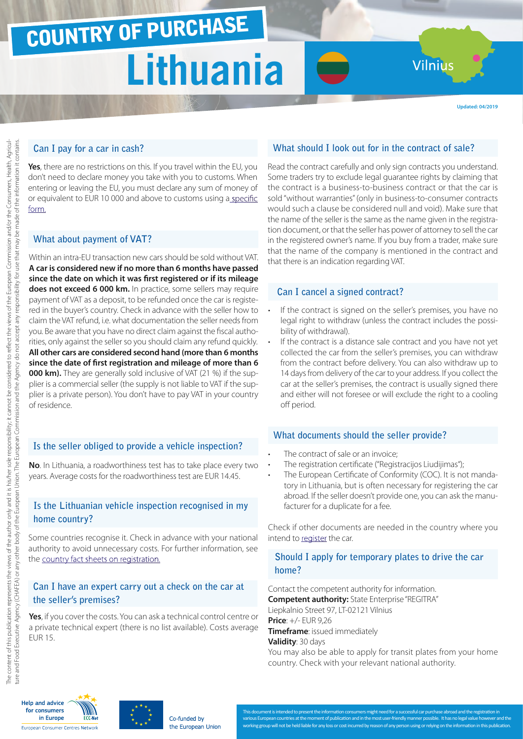# COUNTRY OF PURCHASE **Lithuania**

Vilnius

**Updated: 04/2019**

## **Can I pay for a car in cash?**

**Yes**, there are no restrictions on this. If you travel within the EU, you don't need to declare money you take with you to customs. When entering or leaving the EU, you must declare any sum of money of or equivalent to EUR 10 000 and above to customs using a [specific](http://ec.europa.eu/taxation_customs/resources/documents/customs/customs_controls/cash_controls/declaration_forms/declaration_form_lt_en.pdf) [form.](http://ec.europa.eu/taxation_customs/resources/documents/customs/customs_controls/cash_controls/declaration_forms/declaration_form_lt_en.pdf)

#### **What about payment of VAT?**

Within an intra-EU transaction new cars should be sold without VAT. **A car is considered new if no more than 6 months have passed since the date on which it was first registered or if its mileage does not exceed 6 000 km.** In practice, some sellers may require payment of VAT as a deposit, to be refunded once the car is registered in the buyer's country. Check in advance with the seller how to claim the VAT refund, i.e. what documentation the seller needs from you. Be aware that you have no direct claim against the fiscal authorities, only against the seller so you should claim any refund quickly. **All other cars are considered second hand (more than 6 months since the date of first registration and mileage of more than 6 000 km).** They are generally sold inclusive of VAT (21 %) if the supplier is a commercial seller (the supply is not liable to VAT if the supplier is a private person). You don't have to pay VAT in your country of residence.

### **Is the seller obliged to provide a vehicle inspection?**

**No**. In Lithuania, a roadworthiness test has to take place every two years. Average costs for the roadworthiness test are EUR 14.45.

## **Is the Lithuanian vehicle inspection recognised in my home country?**

Some countries recognise it. Check in advance with your national authority to avoid unnecessary costs. For further information, see the [country fact sheets on registration.](http://www.europe-consommateurs.eu/en/consumer-topics/on-the-road/buying-a-car/cross-border-car-purchase-and-registration/)

### **Can I have an expert carry out a check on the car at the seller's premises?**

**Yes**, if you cover the costs. You can ask a technical control centre or a private technical expert (there is no list available). Costs average EUR 15.

## **What should I look out for in the contract of sale?**

Read the contract carefully and only sign contracts you understand. Some traders try to exclude legal guarantee rights by claiming that the contract is a business-to-business contract or that the car is sold "without warranties" (only in business-to-consumer contracts would such a clause be considered null and void). Make sure that the name of the seller is the same as the name given in the registration document, or that the seller has power of attorney to sell the car in the registered owner's name. If you buy from a trader, make sure that the name of the company is mentioned in the contract and that there is an indication regarding VAT.

#### **Can I cancel a signed contract?**

- If the contract is signed on the seller's premises, you have no legal right to withdraw (unless the contract includes the possibility of withdrawal).
- If the contract is a distance sale contract and you have not yet collected the car from the seller's premises, you can withdraw from the contract before delivery. You can also withdraw up to 14 days from delivery of the car to your address. If you collect the car at the seller's premises, the contract is usually signed there and either will not foresee or will exclude the right to a cooling off period.

#### **What documents should the seller provide?**

- The contract of sale or an invoice:
- The registration certificate ("Registracijos Liudijimas");
- The European Certificate of Conformity (COC). It is not mandatory in Lithuania, but is often necessary for registering the car abroad. If the seller doesn't provide one, you can ask the manufacturer for a duplicate for a fee.

Check if other documents are needed in the country where you intend to [register](http://www.europe-consommateurs.eu/en/consumer-topics/on-the-road/buying-a-car/cross-border-car-purchase-and-registration/) the car.

## **Should I apply for temporary plates to drive the car home?**

Contact the competent authority for information. **Competent authority:** State Enterprise "REGITRA" Liepkalnio Street 97, LT-02121 Vilnius **Price**: +/- EUR 9,26 **Timeframe**: issued immediately **Validity**: 30 days You may also be able to apply for transit plates from your home country. Check with your relevant national authority.